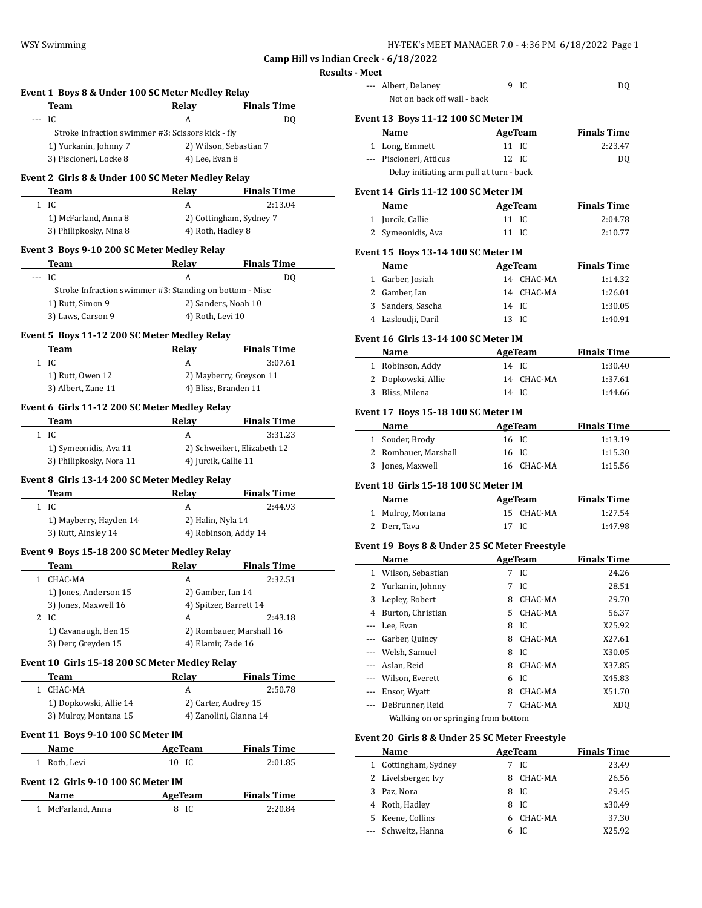| HY-TEK's MEET MANAGER 7.0 - 4:36 PM  6/18/2022  Page 1 |  |  |
|--------------------------------------------------------|--|--|
|--------------------------------------------------------|--|--|

# **Results - Me**

|     | Team                                                    | Relay                       | <b>Finals Time</b>            |
|-----|---------------------------------------------------------|-----------------------------|-------------------------------|
| --- | IC.                                                     | A                           | DQ                            |
|     | Stroke Infraction swimmer #3: Scissors kick - fly       |                             |                               |
|     | 1) Yurkanin, Johnny 7                                   |                             | 2) Wilson, Sebastian 7        |
|     | 3) Piscioneri, Locke 8                                  | 4) Lee, Evan 8              |                               |
|     | Event 2 Girls 8 & Under 100 SC Meter Medley Relay       |                             |                               |
|     | Team                                                    | Relay                       | <b>Finals Time</b>            |
|     | $1$ IC                                                  | A                           | 2:13.04                       |
|     | 1) McFarland, Anna 8                                    |                             | 2) Cottingham, Sydney 7       |
|     | 3) Philipkosky, Nina 8                                  | 4) Roth, Hadley 8           |                               |
|     | Event 3 Boys 9-10 200 SC Meter Medley Relay             |                             |                               |
|     | Team                                                    | Relay                       | <b>Finals Time</b>            |
| --- | IC.                                                     | A                           | DQ                            |
|     | Stroke Infraction swimmer #3: Standing on bottom - Misc |                             |                               |
|     | 1) Rutt, Simon 9                                        |                             | 2) Sanders, Noah 10           |
|     | 3) Laws, Carson 9                                       | 4) Roth, Levi 10            |                               |
|     | Event 5 Boys 11-12 200 SC Meter Medley Relay            |                             |                               |
|     | Team                                                    | Relav                       | <b>Finals Time</b>            |
|     | $1$ IC                                                  | A                           | 3:07.61                       |
|     | 1) Rutt, Owen 12                                        |                             | 2) Mayberry, Greyson 11       |
|     | 3) Albert, Zane 11                                      |                             | 4) Bliss, Branden 11          |
|     | Event 6 Girls 11-12 200 SC Meter Medley Relay           |                             |                               |
|     | Team                                                    | <b>Relay</b>                | <b>Finals Time</b>            |
|     | $1$ IC                                                  | A                           | 3:31.23                       |
|     | 1) Symeonidis, Ava 11                                   | 2) Schweikert, Elizabeth 12 |                               |
|     | 3) Philipkosky, Nora 11                                 | 4) Jurcik, Callie 11        |                               |
|     | Event 8 Girls 13-14 200 SC Meter Medley Relay           |                             |                               |
|     | Team                                                    | Relay                       | <b>Finals Time</b>            |
|     | $1 \quad$ IC                                            | A                           | 2:44.93                       |
|     | 1) Mayberry, Hayden 14                                  | 2) Halin, Nyla 14           |                               |
|     | 3) Rutt, Ainsley 14                                     |                             | 4) Robinson, Addy 14          |
|     | Event 9 Boys 15-18 200 SC Meter Medley Relay            |                             |                               |
|     | Team                                                    | Relay                       | <b>Finals Time</b>            |
|     | 1 CHAC-MA                                               | A                           | 2:32.51                       |
|     | 1) Jones, Anderson 15                                   | 2) Gamber, Ian 14           |                               |
|     | 3) Jones, Maxwell 16                                    |                             | 4) Spitzer, Barrett 14        |
| 2   | IC                                                      | A                           | 2:43.18                       |
|     | 1) Cavanaugh, Ben 15                                    |                             | 2) Rombauer, Marshall 16      |
|     | 3) Derr, Greyden 15                                     | 4) Elamir, Zade 16          |                               |
|     | Event 10 Girls 15-18 200 SC Meter Medley Relay          |                             |                               |
|     | Team                                                    | Relay                       | <b>Finals Time</b>            |
|     | 1 CHAC-MA                                               | A                           | 2:50.78                       |
|     | 1) Dopkowski, Allie 14                                  |                             | 2) Carter, Audrey 15          |
|     |                                                         |                             | 4) Zanolini, Gianna 14        |
|     | 3) Mulroy, Montana 15                                   |                             |                               |
|     |                                                         |                             |                               |
|     | Event 11 Boys 9-10 100 SC Meter IM                      |                             |                               |
|     | <b>Name</b><br>1 Roth, Levi                             | <b>AgeTeam</b><br>10 IC     | <b>Finals Time</b><br>2:01.85 |
|     |                                                         |                             |                               |
|     | Event 12 Girls 9-10 100 SC Meter IM<br>Name             | <b>AgeTeam</b>              | <b>Finals Time</b>            |

| - Meet       |                                                |   |                |                     |  |
|--------------|------------------------------------------------|---|----------------|---------------------|--|
|              | --- Albert, Delaney                            |   | 9 IC           | DQ                  |  |
|              | Not on back off wall - back                    |   |                |                     |  |
|              |                                                |   |                |                     |  |
|              | Event 13 Boys 11-12 100 SC Meter IM            |   |                |                     |  |
|              | <b>Name</b>                                    |   |                | AgeTeam Finals Time |  |
|              | 1 Long, Emmett                                 |   | 11 IC          | 2:23.47             |  |
|              | --- Piscioneri, Atticus                        |   | 12 IC          | DQ                  |  |
|              | Delay initiating arm pull at turn - back       |   |                |                     |  |
|              | Event 14 Girls 11-12 100 SC Meter IM           |   |                |                     |  |
|              | Name<br>the control of the control of the      |   | <b>AgeTeam</b> | <b>Finals Time</b>  |  |
|              | 1 Jurcik, Callie                               |   | 11 IC          | 2:04.78             |  |
|              | 2 Symeonidis, Ava                              |   | 11 IC          | 2:10.77             |  |
|              |                                                |   |                |                     |  |
|              | Event 15 Boys 13-14 100 SC Meter IM            |   |                |                     |  |
|              | Name AgeTeam Finals Time                       |   |                |                     |  |
|              | 1 Garber, Josiah                               |   | 14 CHAC-MA     | 1:14.32             |  |
|              | 2 Gamber, Ian                                  |   | 14 CHAC-MA     | 1:26.01             |  |
|              | 3 Sanders, Sascha                              |   | 14 IC          | 1:30.05             |  |
|              | 4 Lasloudji, Daril                             |   | 13 IC          | 1:40.91             |  |
|              | Event 16 Girls 13-14 100 SC Meter IM           |   |                |                     |  |
|              | Name                                           |   |                | AgeTeam Finals Time |  |
|              | 1 Robinson, Addy                               |   | 14 IC          | 1:30.40             |  |
|              | 2 Dopkowski, Allie                             |   | 14 CHAC-MA     | 1:37.61             |  |
|              | 3 Bliss, Milena                                |   | 14 IC          | 1:44.66             |  |
|              |                                                |   |                |                     |  |
|              | Event 17 Boys 15-18 100 SC Meter IM            |   |                |                     |  |
|              | Name                                           |   | <b>AgeTeam</b> | <b>Finals Time</b>  |  |
|              | 1 Souder, Brody                                |   | 16 IC          | 1:13.19             |  |
|              | 2 Rombauer, Marshall                           |   | 16 IC          | 1:15.30             |  |
|              | 3 Jones, Maxwell                               |   | 16 CHAC-MA     | 1:15.56             |  |
|              | Event 18 Girls 15-18 100 SC Meter IM           |   |                |                     |  |
|              | Name                                           |   | AgeTeam        | <b>Finals Time</b>  |  |
|              | 1 Mulroy, Montana                              |   | 15 CHAC-MA     | 1:27.54             |  |
|              | 2 Derr, Tava                                   |   | 17 IC          | 1:47.98             |  |
|              |                                                |   |                |                     |  |
|              | Event 19 Boys 8 & Under 25 SC Meter Freestyle  |   |                |                     |  |
|              | Name                                           |   | AgeTeam        | <b>Finals Time</b>  |  |
|              | 1 Wilson, Sebastian                            |   | 7 IC           | 24.26               |  |
| 2            | Yurkanin, Johnny                               | 7 | IC             | 28.51               |  |
| 3            | Lepley, Robert                                 | 8 | CHAC-MA        | 29.70               |  |
|              | 4 Burton, Christian                            | 5 | CHAC-MA        | 56.37               |  |
|              | --- Lee, Evan                                  |   | 8 IC           | X25.92              |  |
|              | --- Garber, Quincy                             |   | 8 CHAC-MA      | X27.61              |  |
|              | --- Welsh, Samuel                              |   | 8 IC           | X30.05              |  |
|              | --- Aslan, Reid                                |   | 8 CHAC-MA      | X37.85              |  |
|              | --- Wilson, Everett                            |   | 6 IC           | X45.83              |  |
|              | --- Ensor, Wyatt                               | 8 | CHAC-MA        | X51.70              |  |
|              | --- DeBrunner, Reid                            | 7 | CHAC-MA        | XDQ                 |  |
|              | Walking on or springing from bottom            |   |                |                     |  |
|              | Event 20 Girls 8 & Under 25 SC Meter Freestyle |   |                |                     |  |
|              | Name                                           |   | AgeTeam        | <b>Finals Time</b>  |  |
|              | 1 Cottingham, Sydney                           |   | 7 IC           | 23.49               |  |
| $\mathbf{2}$ | Livelsberger, Ivy                              | 8 | CHAC-MA        | 26.56               |  |
| 3            | Paz, Nora                                      |   | 8 IC           | 29.45               |  |
|              | 4 Roth, Hadley                                 |   | 8 IC           | x30.49              |  |
|              | 5 Keene, Collins                               |   | 6 CHAC-MA      | 37.30               |  |
| ---          | Schweitz, Hanna                                |   | 6 IC           | X25.92              |  |
|              |                                                |   |                |                     |  |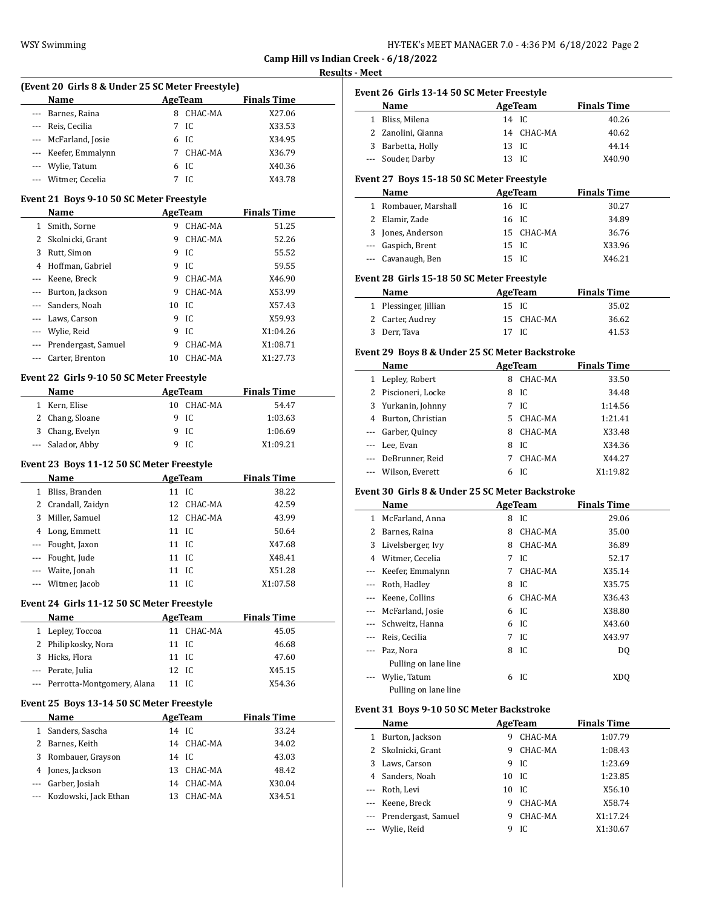| HY-TEK's MEET MANAGER 7.0 - 4:36 PM  6/18/2022  Page 2 |  |  |  |
|--------------------------------------------------------|--|--|--|
|--------------------------------------------------------|--|--|--|

### **Results - Meet**

|          | (Event 20 Girls 8 & Under 25 SC Meter Freestyle) |       |                |                    |  |
|----------|--------------------------------------------------|-------|----------------|--------------------|--|
|          | Name<br>AgeTeam                                  |       |                | <b>Finals Time</b> |  |
| --- 1    | Barnes, Raina                                    | 8     | CHAC-MA        | X27.06             |  |
|          | --- Reis, Cecilia                                | 7     | IC             | X33.53             |  |
|          | --- McFarland, Josie                             | 6     | IC             | X34.95             |  |
|          | --- Keefer, Emmalynn                             | 7     | CHAC-MA        | X36.79             |  |
|          | --- Wylie, Tatum                                 | 6     | IC             | X40.36             |  |
|          | --- Witmer, Cecelia                              | 7     | IC             | X43.78             |  |
|          |                                                  |       |                |                    |  |
|          | Event 21 Boys 9-10 50 SC Meter Freestyle         |       |                |                    |  |
|          | Name                                             |       | AgeTeam        | <b>Finals Time</b> |  |
|          | 1 Smith, Sorne                                   |       | 9 CHAC-MA      | 51.25              |  |
|          | 2 Skolnicki, Grant                               | 9     | CHAC-MA        | 52.26              |  |
|          | 3 Rutt, Simon                                    | 9     | IC             | 55.52              |  |
|          | 4 Hoffman, Gabriel                               | 9     | IC             | 59.55              |  |
|          | --- Keene, Breck                                 | 9     | CHAC-MA        | X46.90             |  |
|          | --- Burton, Jackson                              | 9     | CHAC-MA        | X53.99             |  |
| $---$    | Sanders, Noah                                    | 10    | IC             | X57.43             |  |
|          | --- Laws, Carson                                 | 9     | IC             | X59.93             |  |
|          | --- Wylie, Reid                                  | 9     | IC             | X1:04.26           |  |
|          | --- Prendergast, Samuel                          | 9     | CHAC-MA        | X1:08.71           |  |
| ---      | Carter, Brenton                                  |       | 10 CHAC-MA     | X1:27.73           |  |
|          |                                                  |       |                |                    |  |
|          | Event 22 Girls 9-10 50 SC Meter Freestyle        |       |                |                    |  |
|          | <b>Name</b>                                      |       | AgeTeam        | <b>Finals Time</b> |  |
|          | 1 Kern, Elise                                    |       | 10 CHAC-MA     | 54.47              |  |
|          | 2 Chang, Sloane                                  | 9     | IC             | 1:03.63            |  |
|          | 3 Chang, Evelyn                                  | 9     | IC             | 1:06.69            |  |
| $\cdots$ | Salador, Abby                                    | 9     | IC             | X1:09.21           |  |
|          |                                                  |       |                |                    |  |
|          | Event 23 Boys 11-12 50 SC Meter Freestyle        |       |                |                    |  |
|          | Name                                             |       | AgeTeam        | <b>Finals Time</b> |  |
|          | 1 Bliss, Branden                                 | 11 IC |                | 38.22              |  |
|          | 2 Crandall, Zaidyn                               |       | 12 CHAC-MA     | 42.59              |  |
|          | 3 Miller, Samuel                                 | 12    | CHAC-MA        | 43.99              |  |
|          | 4 Long, Emmett                                   | 11    | IC             | 50.64              |  |
|          | --- Fought, Jaxon                                | 11    | IC             | X47.68             |  |
|          | --- Fought, Jude                                 | 11    | IC             | X48.41             |  |
|          | --- Waite, Jonah                                 | 11    | IC             | X51.28             |  |
|          | --- Witmer, Jacob                                | 11    | IC             | X1:07.58           |  |
|          | Event 24 Girls 11-12 50 SC Meter Freestyle       |       |                |                    |  |
|          | Name                                             |       | AgeTeam        | <b>Finals Time</b> |  |
|          | 1 Lepley, Toccoa                                 |       | 11 CHAC-MA     | 45.05              |  |
|          | 2 Philipkosky, Nora                              |       |                |                    |  |
|          |                                                  | 11 IC |                | 46.68              |  |
|          | 3 Hicks, Flora                                   | 11 IC |                | 47.60              |  |
|          | --- Perate, Julia                                | 12    | IC             | X45.15             |  |
|          | --- Perrotta-Montgomery, Alana                   | 11 IC |                | X54.36             |  |
|          | Event 25 Boys 13-14 50 SC Meter Freestyle        |       |                |                    |  |
|          | Name                                             |       | <b>AgeTeam</b> | <b>Finals Time</b> |  |
|          | 1 Sanders, Sascha                                | 14 IC |                | 33.24              |  |
|          | 2 Barnes, Keith                                  |       | 14 CHAC-MA     | 34.02              |  |
|          | 3 Rombauer, Grayson                              | 14 IC |                | 43.03              |  |
|          | 4 Jones, Jackson                                 |       | 13 CHAC-MA     | 48.42              |  |
|          | --- Garber, Josiah                               |       |                |                    |  |
|          |                                                  |       | 14 CHAC-MA     | X30.04             |  |
|          | --- Kozlowski, Jack Ethan                        |       | 13 CHAC-MA     | X34.51             |  |
|          |                                                  |       |                |                    |  |
|          |                                                  |       |                |                    |  |
|          |                                                  |       |                |                    |  |
|          |                                                  |       |                |                    |  |
|          |                                                  |       |                |                    |  |

|     | Event 26 Girls 13-14 50 SC Meter Freestyle      |       |                 |                    |  |
|-----|-------------------------------------------------|-------|-----------------|--------------------|--|
|     | Name                                            |       | AgeTeam         | <b>Finals Time</b> |  |
|     | 1 Bliss, Milena                                 | 14 IC |                 | 40.26              |  |
|     | 2 Zanolini, Gianna                              |       | 14 CHAC-MA      | 40.62              |  |
|     | 3 Barbetta, Holly                               | 13 IC |                 | 44.14              |  |
|     | --- Souder, Darby                               | 13 IC |                 | X40.90             |  |
|     |                                                 |       |                 |                    |  |
|     | Event 27 Boys 15-18 50 SC Meter Freestyle       |       |                 |                    |  |
|     | Name                                            |       | AgeTeam         | <b>Finals Time</b> |  |
|     | 1 Rombauer, Marshall                            |       | 16 IC           | 30.27              |  |
|     | 2 Elamir. Zade                                  | 16 IC |                 | 34.89              |  |
|     | 3 Jones, Anderson                               |       | 15 CHAC-MA      | 36.76              |  |
|     | --- Gaspich, Brent                              | 15 IC |                 | X33.96             |  |
|     | --- Cavanaugh, Ben                              | 15 IC |                 | X46.21             |  |
|     | Event 28 Girls 15-18 50 SC Meter Freestyle      |       |                 |                    |  |
|     | Name                                            |       | <b>AgeTeam</b>  | <b>Finals Time</b> |  |
|     | 1 Plessinger, Jillian                           | 15 IC |                 | 35.02              |  |
|     | 2 Carter, Audrey                                | 15    | CHAC-MA         | 36.62              |  |
|     | 3 Derr, Tava                                    | 17 IC |                 | 41.53              |  |
|     |                                                 |       |                 |                    |  |
|     | Event 29 Boys 8 & Under 25 SC Meter Backstroke  |       |                 |                    |  |
|     | Name                                            |       | <b>AgeTeam</b>  | <b>Finals Time</b> |  |
|     | 1 Lepley, Robert                                |       | 8 CHAC-MA       | 33.50              |  |
|     | 2 Piscioneri, Locke                             |       | 8 IC            | 34.48              |  |
|     | 3 Yurkanin, Johnny                              |       | 7 IC            | 1:14.56            |  |
|     | 4 Burton, Christian                             |       | 5 CHAC-MA       | 1:21.41            |  |
|     | --- Garber, Quincy                              |       | 8 CHAC-MA       | X33.48             |  |
|     | --- Lee, Evan                                   |       | 8 IC            | X34.36             |  |
|     | --- DeBrunner, Reid                             |       | 7 CHAC-MA       | X44.27             |  |
|     | --- Wilson, Everett                             |       | 6 IC            | X1:19.82           |  |
|     | Event 30 Girls 8 & Under 25 SC Meter Backstroke |       |                 |                    |  |
|     | Name                                            |       | AgeTeam         | <b>Finals Time</b> |  |
|     | 1 McFarland, Anna                               |       | 8 IC            | 29.06              |  |
|     | 2 Barnes, Raina                                 |       | 8 CHAC-MA       | 35.00              |  |
|     |                                                 |       |                 |                    |  |
|     | 3 Livelsberger, Ivy                             |       | 8 CHAC-MA       | 36.89              |  |
|     | 4 Witmer, Cecelia                               |       | 7 <sub>IC</sub> | 52.17              |  |
|     | --- Keefer, Emmalynn                            |       | 7 CHAC-MA       | X35.14             |  |
|     | --- Roth, Hadley                                |       | 8 IC            | X35.75             |  |
|     | --- Keene, Collins                              | 6     | CHAC-MA         | X36.43             |  |
|     | --- McFarland, Josie                            |       | 6 IC            | X38.80             |  |
|     | --- Schweitz, Hanna                             |       | 6 IC            | X43.60             |  |
|     | --- Reis, Cecilia                               |       | 7 IC            | X43.97             |  |
|     | --- Paz, Nora                                   |       | 8 IC            | DQ                 |  |
|     | Pulling on lane line                            |       |                 |                    |  |
| --- | Wylie, Tatum                                    |       | 6 IC            | XDQ                |  |
|     | Pulling on lane line                            |       |                 |                    |  |
|     | Event 31 Boys 9-10 50 SC Meter Backstroke       |       |                 |                    |  |
|     | <b>Name</b>                                     |       | <b>AgeTeam</b>  | <b>Finals Time</b> |  |
|     | 1 Burton, Jackson                               | 9     | CHAC-MA         | 1:07.79            |  |
|     | 2 Skolnicki, Grant                              | 9     | CHAC-MA         | 1:08.43            |  |
|     | 3 Laws, Carson                                  |       | 9 IC            | 1:23.69            |  |
|     | 4 Sanders, Noah                                 | 10 IC |                 | 1:23.85            |  |
|     | --- Roth, Levi                                  | 10 IC |                 | X56.10             |  |
|     | --- Keene, Breck                                |       | 9 CHAC-MA       | X58.74             |  |
|     | --- Prendergast, Samuel                         | 9     | CHAC-MA         | X1:17.24           |  |
|     | Wylie, Reid                                     |       | 9 IC            | X1:30.67           |  |
|     |                                                 |       |                 |                    |  |
|     |                                                 |       |                 |                    |  |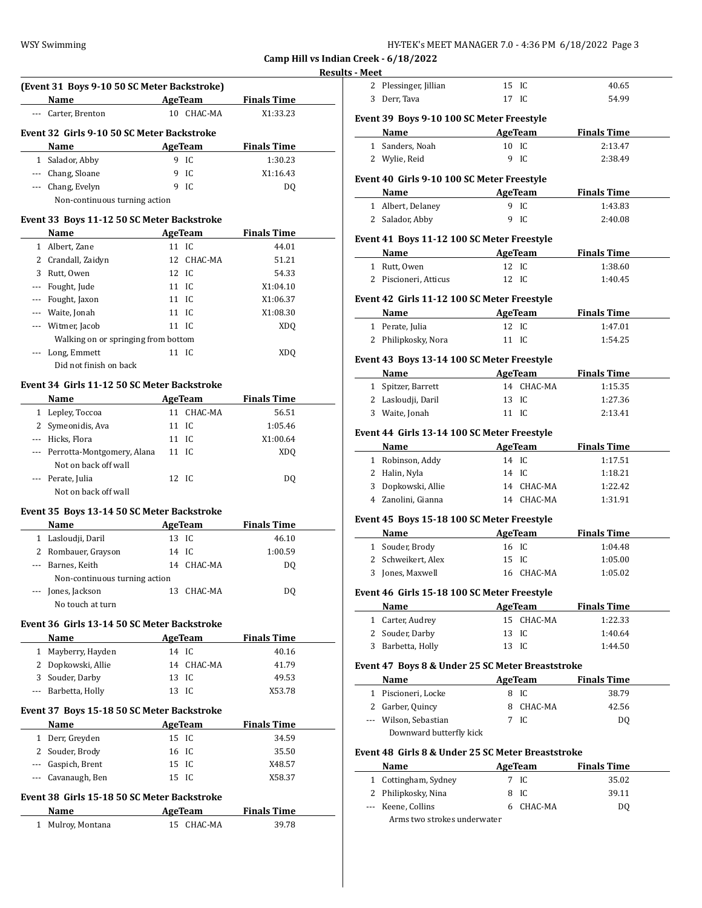| HY-TEK's MEET MANAGER 7.0 - 4:36 PM  6/18/2022  Page 3 |  |  |  |
|--------------------------------------------------------|--|--|--|
|--------------------------------------------------------|--|--|--|

#### **Results - M**

|                                            | (Event 31 Boys 9-10 50 SC Meter Backstroke) |                 |                |                    |  |  |
|--------------------------------------------|---------------------------------------------|-----------------|----------------|--------------------|--|--|
|                                            | Name                                        |                 | AgeTeam        | <b>Finals Time</b> |  |  |
|                                            | Carter, Brenton                             |                 | 10 CHAC-MA     | X1:33.23           |  |  |
| Event 32 Girls 9-10 50 SC Meter Backstroke |                                             |                 |                |                    |  |  |
|                                            | Name                                        |                 | <b>AgeTeam</b> | <b>Finals Time</b> |  |  |
| $\mathbf{1}$                               | Salador, Abby                               | 9               | IC.            | 1:30.23            |  |  |
| $- - -$                                    | Chang, Sloane                               |                 | 9 IC           | X1:16.43           |  |  |
| $\cdots$                                   | Chang, Evelyn                               |                 | 9 IC           | DO.                |  |  |
|                                            | Non-continuous turning action               |                 |                |                    |  |  |
|                                            | Event 33 Boys 11-12 50 SC Meter Backstroke  |                 |                |                    |  |  |
|                                            | Name                                        |                 | AgeTeam        | <b>Finals Time</b> |  |  |
|                                            | 1 Albert, Zane                              | $11$ IC         |                | 44.01              |  |  |
| 2                                          | Crandall, Zaidyn                            |                 | 12 CHAC-MA     | 51.21              |  |  |
| 3                                          | Rutt, Owen                                  | 12 IC           |                | 54.33              |  |  |
| ---                                        | Fought, Jude                                | $11 \text{ IC}$ |                | X1:04.10           |  |  |
|                                            | Fought, Jaxon                               | $11 \text{ IC}$ |                | X1:06.37           |  |  |
|                                            | Waite, Jonah                                | $11 \text{ IC}$ |                | X1:08.30           |  |  |
|                                            | Witmer, Jacob                               | 11 IC           |                | <b>XDQ</b>         |  |  |
|                                            | Walking on or springing from bottom         |                 |                |                    |  |  |
|                                            | Long, Emmett                                | 11 IC           |                | XD <sub>O</sub>    |  |  |
|                                            | Did not finish on back                      |                 |                |                    |  |  |
|                                            | Event 34 Girls 11-12 50 SC Meter Backstroke |                 |                |                    |  |  |
|                                            | Name                                        |                 | <b>AgeTeam</b> | <b>Finals Time</b> |  |  |
|                                            | 1 Lanlay Tossas (11 CHAC MA)                |                 |                | $E \subset E1$     |  |  |

## 1 Lepley, Toccoa 11 CHAC-MA 56.51 2 Symeonidis, Ava 11 IC 1:05.46 --- Hicks, Flora 11 IC X1:00.64 --- Perrotta-Montgomery, Alana 11 IC XDQ Not on back off wall --- Perate, Julia 12 IC DQ Not on back off wall

### **Event 35 Boys 13-14 50 SC Meter Backstroke**

| Name                          |       | AgeTeam    | <b>Finals Time</b> |  |
|-------------------------------|-------|------------|--------------------|--|
| 1 Lasloudji, Daril            | 13 IC |            | 46.10              |  |
| 2 Rombauer, Grayson           | 14 IC |            | 1:00.59            |  |
| --- Barnes, Keith             |       | 14 CHAC-MA | DO.                |  |
| Non-continuous turning action |       |            |                    |  |
| --- Jones, Jackson            |       | 13 CHAC-MA | DO                 |  |
| No touch at turn              |       |            |                    |  |

### **Event 36 Girls 13-14 50 SC Meter Backstroke**

| Name                |       | AgeTeam    | <b>Finals Time</b> |  |
|---------------------|-------|------------|--------------------|--|
| 1 Mayberry, Hayden  |       | 14 IC      | 40.16              |  |
| 2 Dopkowski, Allie  |       | 14 CHAC-MA | 41.79              |  |
| 3 Souder, Darby     | 13 IC |            | 49.53              |  |
| --- Barbetta, Holly | 13.   | -IC        | X53.78             |  |

#### **Event 37 Boys 15-18 50 SC Meter Backstroke**

| <b>Name</b>        | AgeTeam | <b>Finals Time</b> |
|--------------------|---------|--------------------|
| 1 Derr, Greyden    | 15 IC   | 34.59              |
| 2 Souder, Brody    | 16 IC   | 35.50              |
| --- Gaspich, Brent | 15 IC   | X48.57             |
| --- Cavanaugh, Ben | 15 IC   | X58.37             |

### **Event 38 Girls 15-18 50 SC Meter Backstroke**

| Name              | AgeTeam    | <b>Finals Time</b> |
|-------------------|------------|--------------------|
| 1 Mulroy, Montana | 15 CHAC-MA | 39.78              |

|   | - Meet                                             |             |                |                    |
|---|----------------------------------------------------|-------------|----------------|--------------------|
|   | 2 Plessinger, Jillian                              | 15 IC       |                | 40.65              |
| 3 | Derr, Tava                                         | 17 IC       |                | 54.99              |
|   | Event 39 Boys 9-10 100 SC Meter Freestyle          |             |                |                    |
|   | Name                                               |             | AgeTeam        | <b>Finals Time</b> |
|   | 1 Sanders, Noah                                    |             | 10 IC          | 2:13.47            |
|   | 2 Wylie, Reid                                      | 9           | IC             | 2:38.49            |
|   | Event 40 Girls 9-10 100 SC Meter Freestyle         |             |                |                    |
|   | <b>Example 2</b> AgeTeam<br>Name                   |             |                | <b>Finals Time</b> |
|   | 1 Albert, Delaney                                  |             | 9 IC           | 1:43.83            |
|   | 2 Salador, Abby                                    | 9           | IC             | 2:40.08            |
|   |                                                    |             |                |                    |
|   | Event 41 Boys 11-12 100 SC Meter Freestyle<br>Name |             | <b>AgeTeam</b> | <b>Finals Time</b> |
|   | 1 Rutt, Owen                                       | 12 IC       |                | 1:38.60            |
|   | 2 Piscioneri, Atticus                              | 12 IC       |                | 1:40.45            |
|   |                                                    |             |                |                    |
|   | Event 42 Girls 11-12 100 SC Meter Freestyle        |             |                |                    |
|   | Name                                               |             | AgeTeam        | <b>Finals Time</b> |
|   | 1 Perate, Julia<br>2 Philipkosky, Nora             | 12<br>11 IC | IC             | 1:47.01<br>1:54.25 |
|   |                                                    |             |                |                    |
|   | Event 43 Boys 13-14 100 SC Meter Freestyle         |             |                |                    |
|   | Name                                               | AgeTeam     |                | <b>Finals Time</b> |
|   | 1 Spitzer, Barrett                                 |             | 14 CHAC-MA     | 1:15.35            |
|   | 2 Lasloudji, Daril                                 | 13          | IC             | 1:27.36            |
|   | 3 Waite, Jonah                                     | 11 IC       |                | 2:13.41            |
|   | Event 44 Girls 13-14 100 SC Meter Freestyle        |             |                |                    |
|   | <b>Name</b>                                        |             | <b>AgeTeam</b> | <b>Finals Time</b> |
|   | 1 Robinson, Addy                                   | 14 IC       |                | 1:17.51            |
|   | 2 Halin, Nyla                                      | 14 IC       |                | 1:18.21            |
|   | 3 Dopkowski, Allie                                 |             | 14 CHAC-MA     | 1:22.42            |
|   | 4 Zanolini, Gianna                                 |             | 14 CHAC-MA     | 1:31.91            |
|   | Event 45 Boys 15-18 100 SC Meter Freestyle         |             |                |                    |
|   | Name                                               |             | AgeTeam        | <b>Finals Time</b> |
|   | 1 Souder, Brody                                    | 16 IC       |                | 1:04.48            |
|   | 2 Schweikert, Alex                                 | 15          | IC             | 1:05.00            |
| 3 | Jones, Maxwell                                     | 16          | CHAC-MA        | 1:05.02            |
|   | Event 46 Girls 15-18 100 SC Meter Freestyle        |             |                |                    |
|   | Name                                               |             | AgeTeam        | <b>Finals Time</b> |
|   | 1 Carter, Audrey                                   |             | 15 CHAC-MA     | 1:22.33            |
|   | 2 Souder, Darby                                    | 13 IC       |                | 1:40.64            |
|   | 3 Barbetta, Holly                                  |             | 13 IC          | 1:44.50            |
|   |                                                    |             |                |                    |
|   | Event 47 Boys 8 & Under 25 SC Meter Breaststroke   |             |                |                    |
|   | <b>Name</b>                                        |             | <b>AgeTeam</b> | <b>Finals Time</b> |
|   | 1 Piscioneri, Locke                                |             | 8 IC           | 38.79              |
|   | 2 Garber, Quincy                                   |             | 8 CHAC-MA      | 42.56              |
|   | --- Wilson, Sebastian                              |             | 7 IC           | DQ                 |
|   | Downward butterfly kick                            |             |                |                    |
|   | Event 48 Girls 8 & Under 25 SC Meter Breaststroke  |             |                |                    |
|   | Name                                               |             | AgeTeam        | <b>Finals Time</b> |
|   | 1 Cottingham, Sydney                               |             | 7 IC           | 35.02              |
|   | 2 Philipkosky, Nina                                | 8           | IC             | 39.11              |
|   | --- Keene, Collins                                 |             | 6 CHAC-MA      | DQ                 |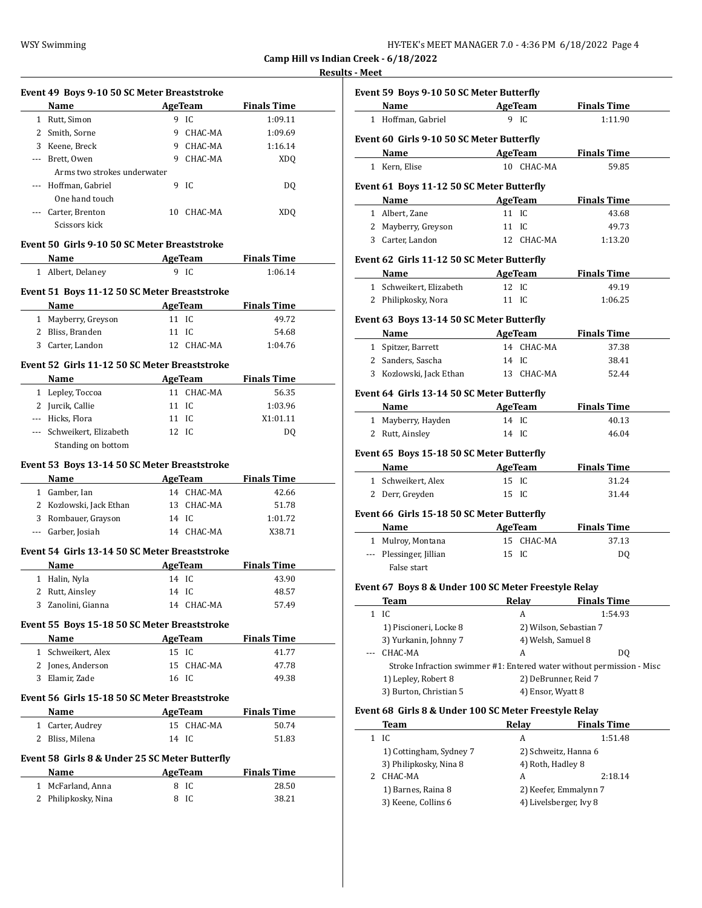| HY-TEK's MEET MANAGER 7.0 - 4:36 PM  6/18/2022  Page 4 |  |  |
|--------------------------------------------------------|--|--|
|--------------------------------------------------------|--|--|

### **Results - Meet**

|       | Event 49 Boys 9-10 50 SC Meter Breaststroke                                                                                                                                                                                   |       |                |                     |
|-------|-------------------------------------------------------------------------------------------------------------------------------------------------------------------------------------------------------------------------------|-------|----------------|---------------------|
|       | Name                                                                                                                                                                                                                          |       | AgeTeam        | <b>Finals Time</b>  |
|       | 1 Rutt, Simon                                                                                                                                                                                                                 |       | 9 IC           | 1:09.11             |
|       | 2 Smith, Sorne                                                                                                                                                                                                                |       | 9 CHAC-MA      | 1:09.69             |
|       | 3 Keene, Breck                                                                                                                                                                                                                |       | 9 CHAC-MA      | 1:16.14             |
|       | --- Brett, Owen                                                                                                                                                                                                               |       | 9 CHAC-MA      | <b>XDQ</b>          |
|       | Arms two strokes underwater                                                                                                                                                                                                   |       |                |                     |
| $---$ | Hoffman, Gabriel                                                                                                                                                                                                              | 9     | IC             | DQ                  |
|       | One hand touch                                                                                                                                                                                                                |       |                |                     |
|       |                                                                                                                                                                                                                               |       |                |                     |
|       | --- Carter, Brenton<br>Scissors kick                                                                                                                                                                                          |       | 10 CHAC-MA     | <b>XDQ</b>          |
|       | Event 50 Girls 9-10 50 SC Meter Breaststroke                                                                                                                                                                                  |       |                |                     |
|       | Name                                                                                                                                                                                                                          |       |                | AgeTeam Finals Time |
|       | 1 Albert, Delaney                                                                                                                                                                                                             |       | 9 IC           | 1:06.14             |
|       | Event 51 Boys 11-12 50 SC Meter Breaststroke                                                                                                                                                                                  |       |                |                     |
|       | Name<br><b>Example 2.1 AgeTeam</b>                                                                                                                                                                                            |       |                | <b>Finals Time</b>  |
|       | 1 Mayberry, Greyson                                                                                                                                                                                                           |       | 11 IC          | 49.72               |
|       | 2 Bliss, Branden                                                                                                                                                                                                              | 11 IC |                | 54.68               |
|       | 3 Carter, Landon                                                                                                                                                                                                              |       | 12 CHAC-MA     | 1:04.76             |
|       |                                                                                                                                                                                                                               |       |                |                     |
|       | Event 52 Girls 11-12 50 SC Meter Breaststroke                                                                                                                                                                                 |       |                |                     |
|       | Name                                                                                                                                                                                                                          |       |                | AgeTeam Finals Time |
|       | 1 Lepley, Toccoa                                                                                                                                                                                                              |       | 11 CHAC-MA     | 56.35               |
|       | 2 Jurcik, Callie                                                                                                                                                                                                              | 11 IC |                | 1:03.96             |
|       | --- Hicks, Flora                                                                                                                                                                                                              | 11 IC |                | X1:01.11            |
|       | --- Schweikert, Elizabeth                                                                                                                                                                                                     | 12 IC |                | DQ                  |
|       | Standing on bottom                                                                                                                                                                                                            |       |                |                     |
|       |                                                                                                                                                                                                                               |       |                |                     |
|       | Event 53 Boys 13-14 50 SC Meter Breaststroke                                                                                                                                                                                  |       |                |                     |
|       | Name                                                                                                                                                                                                                          |       |                | <b>Finals Time</b>  |
|       | <b>Example 2018</b> AgeTeam<br>1 Gamber, Ian                                                                                                                                                                                  |       | 14 CHAC-MA     | 42.66               |
|       |                                                                                                                                                                                                                               |       | 13 CHAC-MA     | 51.78               |
|       | 2 Kozlowski, Jack Ethan                                                                                                                                                                                                       | 14 IC |                | 1:01.72             |
|       | 3 Rombauer, Grayson<br>--- Garber, Josiah                                                                                                                                                                                     |       | 14 CHAC-MA     | X38.71              |
|       |                                                                                                                                                                                                                               |       |                |                     |
|       | Event 54 Girls 13-14 50 SC Meter Breaststroke                                                                                                                                                                                 |       |                |                     |
|       | Name                                                                                                                                                                                                                          |       | AgeTeam        | <b>Finals Time</b>  |
|       | 1 Halin, Nyla                                                                                                                                                                                                                 | 14 IC |                | 43.90               |
|       | 2 Rutt, Ainsley                                                                                                                                                                                                               | 14 IC |                | 48.57               |
|       | 3 Zanolini, Gianna                                                                                                                                                                                                            |       | 14 CHAC-MA     | 57.49               |
|       | Event 55 Boys 15-18 50 SC Meter Breaststroke                                                                                                                                                                                  |       |                |                     |
|       | Name and the same state of the state of the state of the state of the state of the state of the state of the state of the state of the state of the state of the state of the state of the state of the state of the state of |       | AgeTeam        | <b>Finals Time</b>  |
|       | 1 Schweikert, Alex                                                                                                                                                                                                            | 15 IC |                | 41.77               |
|       | 2 Jones, Anderson                                                                                                                                                                                                             |       | 15 CHAC-MA     | 47.78               |
|       | 3 Elamir, Zade                                                                                                                                                                                                                | 16 IC |                | 49.38               |
|       | Event 56 Girls 15-18 50 SC Meter Breaststroke                                                                                                                                                                                 |       |                |                     |
|       | Name                                                                                                                                                                                                                          |       |                |                     |
|       |                                                                                                                                                                                                                               |       | <b>AgeTeam</b> | <b>Finals Time</b>  |
| 1     | Carter, Audrey                                                                                                                                                                                                                | 14 IC | 15 CHAC-MA     | 50.74<br>51.83      |
|       | 2 Bliss, Milena                                                                                                                                                                                                               |       |                |                     |
|       | Event 58 Girls 8 & Under 25 SC Meter Butterfly                                                                                                                                                                                |       |                |                     |
|       | Name                                                                                                                                                                                                                          |       | AgeTeam        | <b>Finals Time</b>  |
|       | 1 McFarland, Anna<br>2 Philipkosky, Nina                                                                                                                                                                                      | 8     | 8 IC<br>IC     | 28.50<br>38.21      |

| <u>- Mccr</u> |                                                                                                                                                                                                                               |                        |                                                                       |
|---------------|-------------------------------------------------------------------------------------------------------------------------------------------------------------------------------------------------------------------------------|------------------------|-----------------------------------------------------------------------|
|               | Event 59 Boys 9-10 50 SC Meter Butterfly                                                                                                                                                                                      |                        |                                                                       |
|               | Name AgeTeam                                                                                                                                                                                                                  |                        | <b>Finals Time</b>                                                    |
|               | 1 Hoffman, Gabriel                                                                                                                                                                                                            | 9 IC                   | 1:11.90                                                               |
|               |                                                                                                                                                                                                                               |                        |                                                                       |
|               | Event 60 Girls 9-10 50 SC Meter Butterfly                                                                                                                                                                                     |                        |                                                                       |
|               | <b>Example 2</b> AgeTeam<br>Name                                                                                                                                                                                              | 10 CHAC-MA             | <b>Finals Time</b>                                                    |
|               | 1 Kern, Elise                                                                                                                                                                                                                 |                        | 59.85                                                                 |
|               | Event 61 Boys 11-12 50 SC Meter Butterfly                                                                                                                                                                                     |                        |                                                                       |
|               | Name                                                                                                                                                                                                                          | AgeTeam                | <b>Finals Time</b>                                                    |
|               | 1 Albert, Zane                                                                                                                                                                                                                | 11 IC                  | 43.68                                                                 |
|               | 2 Mayberry, Greyson                                                                                                                                                                                                           | 11 IC                  | 49.73                                                                 |
|               | 3 Carter, Landon                                                                                                                                                                                                              | 12 CHAC-MA             | 1:13.20                                                               |
|               | Event 62 Girls 11-12 50 SC Meter Butterfly                                                                                                                                                                                    |                        |                                                                       |
|               | Name and the same state of the state of the state of the state of the state of the state of the state of the state of the state of the state of the state of the state of the state of the state of the state of the state of | AgeTeam                | <b>Finals Time</b>                                                    |
|               | 1 Schweikert, Elizabeth                                                                                                                                                                                                       | 12 IC                  | 49.19                                                                 |
|               | 2 Philipkosky, Nora                                                                                                                                                                                                           | 11 IC                  | 1:06.25                                                               |
|               | Event 63 Boys 13-14 50 SC Meter Butterfly                                                                                                                                                                                     |                        |                                                                       |
|               | <b>Name</b>                                                                                                                                                                                                                   | AgeTeam                | <b>Finals Time</b>                                                    |
|               | 1 Spitzer, Barrett                                                                                                                                                                                                            | 14 CHAC-MA             | 37.38                                                                 |
|               | 2 Sanders, Sascha                                                                                                                                                                                                             | 14 IC                  | 38.41                                                                 |
|               | 3 Kozlowski, Jack Ethan                                                                                                                                                                                                       | 13 CHAC-MA             | 52.44                                                                 |
|               |                                                                                                                                                                                                                               |                        |                                                                       |
|               | Event 64 Girls 13-14 50 SC Meter Butterfly                                                                                                                                                                                    |                        |                                                                       |
|               | Name                                                                                                                                                                                                                          | <b>AgeTeam</b>         | <b>Finals Time</b>                                                    |
|               | 1 Mayberry, Hayden                                                                                                                                                                                                            | 14 IC                  | 40.13                                                                 |
|               | 2 Rutt, Ainsley                                                                                                                                                                                                               | 14 IC                  | 46.04                                                                 |
|               | Event 65 Boys 15-18 50 SC Meter Butterfly                                                                                                                                                                                     |                        |                                                                       |
|               | <b>Name</b>                                                                                                                                                                                                                   | AgeTeam                | <b>Finals Time</b>                                                    |
|               | 1 Schweikert, Alex                                                                                                                                                                                                            | 15 IC                  | 31.24                                                                 |
|               | 2 Derr, Greyden                                                                                                                                                                                                               | 15 IC                  | 31.44                                                                 |
|               | Event 66 Girls 15-18 50 SC Meter Butterfly                                                                                                                                                                                    |                        |                                                                       |
|               | Name                                                                                                                                                                                                                          | AgeTeam                | <b>Finals Time</b>                                                    |
|               | 1 Mulroy, Montana                                                                                                                                                                                                             | 15 CHAC-MA             | 37.13                                                                 |
|               | --- Plessinger, Jillian                                                                                                                                                                                                       | 15 IC                  | DQ                                                                    |
|               | False start                                                                                                                                                                                                                   |                        |                                                                       |
|               | Event 67 Boys 8 & Under 100 SC Meter Freestyle Relay                                                                                                                                                                          |                        |                                                                       |
|               | Team                                                                                                                                                                                                                          | Relay                  | <b>Finals Time</b>                                                    |
| $\mathbf{1}$  | IC                                                                                                                                                                                                                            | A                      | 1:54.93                                                               |
|               | 1) Piscioneri, Locke 8                                                                                                                                                                                                        | 2) Wilson, Sebastian 7 |                                                                       |
|               | 3) Yurkanin, Johnny 7                                                                                                                                                                                                         | 4) Welsh, Samuel 8     |                                                                       |
|               | CHAC-MA                                                                                                                                                                                                                       | A                      | DQ                                                                    |
|               |                                                                                                                                                                                                                               |                        | Stroke Infraction swimmer #1: Entered water without permission - Misc |
|               | 1) Lepley, Robert 8                                                                                                                                                                                                           | 2) DeBrunner, Reid 7   |                                                                       |
|               | 3) Burton, Christian 5                                                                                                                                                                                                        | 4) Ensor, Wyatt 8      |                                                                       |
|               | Event 68 Girls 8 & Under 100 SC Meter Freestyle Relay                                                                                                                                                                         |                        |                                                                       |
|               | Team                                                                                                                                                                                                                          | <b>Relay</b>           | <b>Finals Time</b>                                                    |
| $\mathbf{1}$  | IC                                                                                                                                                                                                                            | A                      | 1:51.48                                                               |
|               | 1) Cottingham, Sydney 7                                                                                                                                                                                                       | 2) Schweitz, Hanna 6   |                                                                       |
|               | 3) Philipkosky, Nina 8                                                                                                                                                                                                        | 4) Roth, Hadley 8      |                                                                       |
|               | 2 CHAC-MA                                                                                                                                                                                                                     | A                      | 2:18.14                                                               |
|               | 1) Barnes, Raina 8                                                                                                                                                                                                            |                        | 2) Keefer, Emmalynn 7                                                 |
|               | 3) Keene, Collins 6                                                                                                                                                                                                           | 4) Livelsberger, Ivy 8 |                                                                       |
|               |                                                                                                                                                                                                                               |                        |                                                                       |